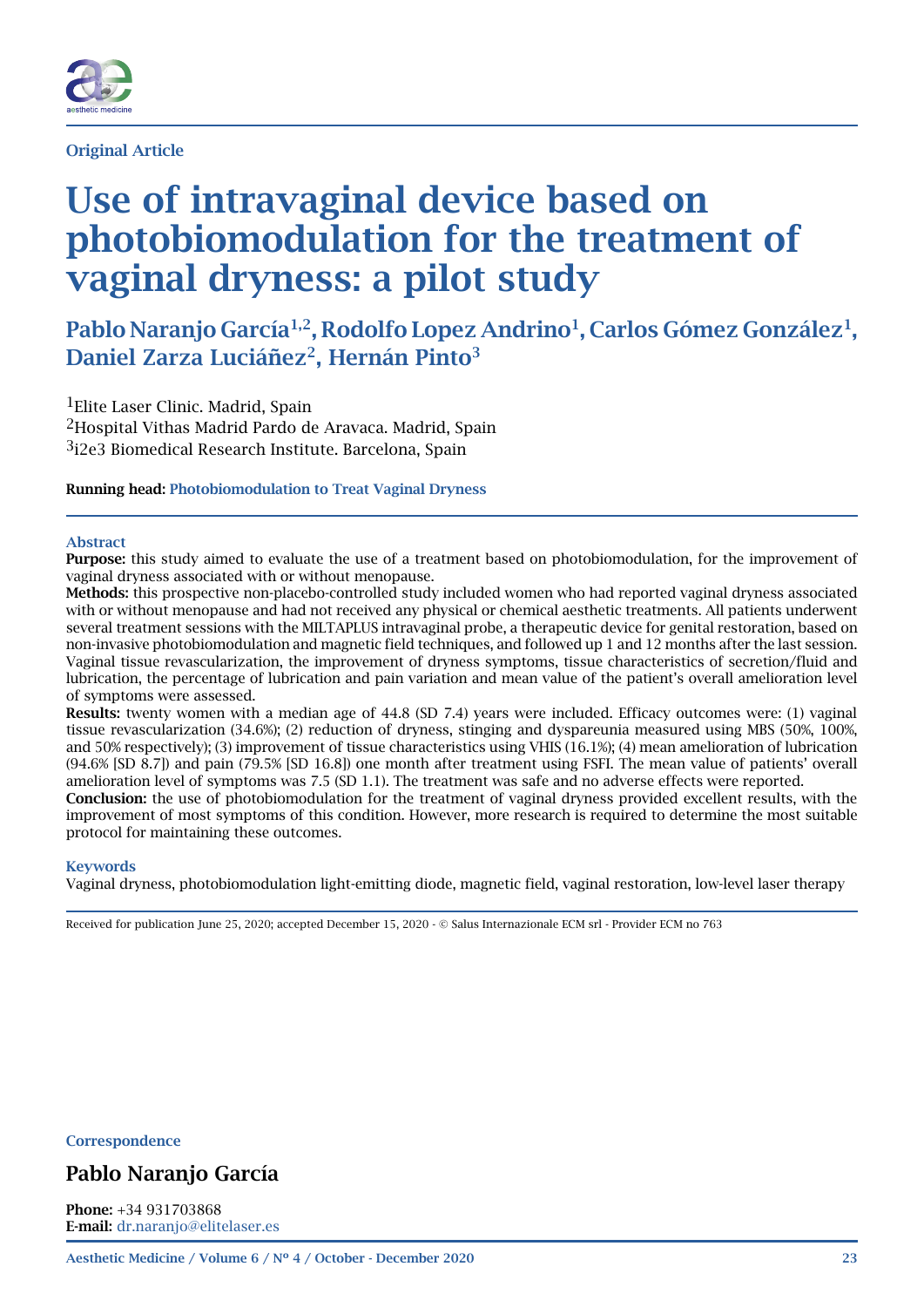

#### Original Article

# Use of intravaginal device based on photobiomodulation for the treatment of vaginal dryness: a pilot study

## Pablo Naranjo García<sup>1,2</sup>, Rodolfo Lopez Andrino<sup>1</sup>, Carlos Gómez González<sup>1</sup>, Daniel Zarza Luciáñez<sup>2</sup>, Hernán Pinto<sup>3</sup>

1Elite Laser Clinic. Madrid, Spain 2Hospital Vithas Madrid Pardo de Aravaca. Madrid, Spain 3i2e3 Biomedical Research Institute. Barcelona, Spain

Running head: Photobiomodulation to Treat Vaginal Dryness

#### Abstract

Purpose: this study aimed to evaluate the use of a treatment based on photobiomodulation, for the improvement of vaginal dryness associated with or without menopause.

Methods: this prospective non-placebo-controlled study included women who had reported vaginal dryness associated with or without menopause and had not received any physical or chemical aesthetic treatments. All patients underwent several treatment sessions with the MILTAPLUS intravaginal probe, a therapeutic device for genital restoration, based on non-invasive photobiomodulation and magnetic field techniques, and followed up 1 and 12 months after the last session. Vaginal tissue revascularization, the improvement of dryness symptoms, tissue characteristics of secretion/fluid and lubrication, the percentage of lubrication and pain variation and mean value of the patient's overall amelioration level of symptoms were assessed.

Results: twenty women with a median age of 44.8 (SD 7.4) years were included. Efficacy outcomes were: (1) vaginal tissue revascularization (34.6%); (2) reduction of dryness, stinging and dyspareunia measured using MBS (50%, 100%, and 50% respectively); (3) improvement of tissue characteristics using VHIS (16.1%); (4) mean amelioration of lubrication (94.6% [SD 8.7]) and pain (79.5% [SD 16.8]) one month after treatment using FSFI. The mean value of patients' overall amelioration level of symptoms was 7.5 (SD 1.1). The treatment was safe and no adverse effects were reported.

Conclusion: the use of photobiomodulation for the treatment of vaginal dryness provided excellent results, with the improvement of most symptoms of this condition. However, more research is required to determine the most suitable protocol for maintaining these outcomes.

#### **Keywords**

Vaginal dryness, photobiomodulation light-emitting diode, magnetic field, vaginal restoration, low-level laser therapy

Received for publication June 25, 2020; accepted December 15, 2020 - © Salus Internazionale ECM srl - Provider ECM no 763

**Correspondence** 

### Pablo Naranjo García

Phone: +34 931703868 E-mail: [dr.naranjo@elitelaser.es](mailto:dr.naranjo%40elitelaser.es?subject=)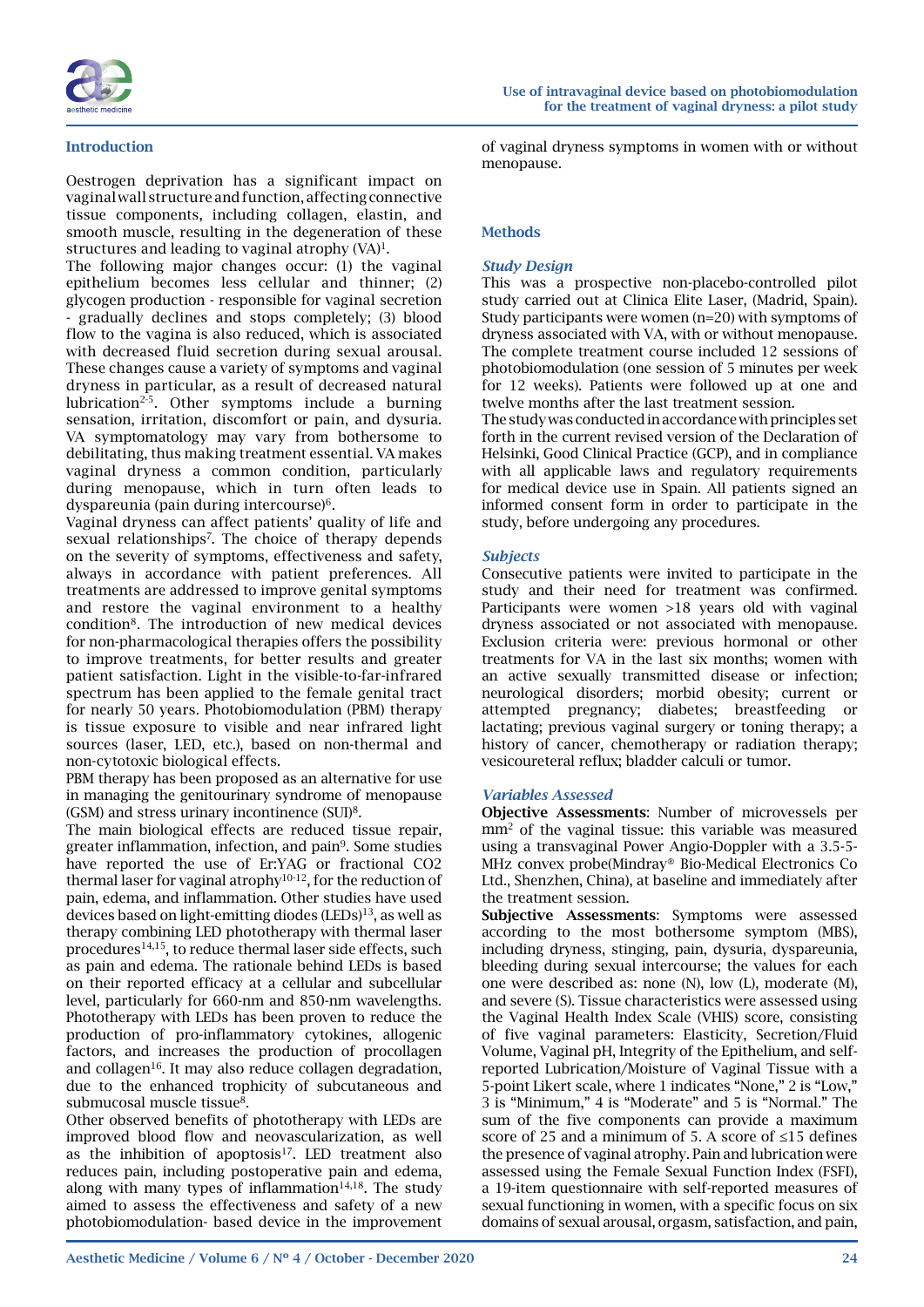

#### Introduction

Oestrogen deprivation has a significant impact on vaginal wall structure and function, affecting connective tissue components, including collagen, elastin, and smooth muscle, resulting in the degeneration of these structures and leading to vaginal atrophy  $(VA)^1$ .

The following major changes occur: (1) the vaginal epithelium becomes less cellular and thinner; (2) glycogen production - responsible for vaginal secretion - gradually declines and stops completely; (3) blood flow to the vagina is also reduced, which is associated with decreased fluid secretion during sexual arousal. These changes cause a variety of symptoms and vaginal dryness in particular, as a result of decreased natural lubrication<sup>2-5</sup>. Other symptoms include a burning sensation, irritation, discomfort or pain, and dysuria. VA symptomatology may vary from bothersome to debilitating, thus making treatment essential. VA makes vaginal dryness a common condition, particularly during menopause, which in turn often leads to dyspareunia (pain during intercourse)6.

Vaginal dryness can affect patients' quality of life and sexual relationships<sup>7</sup>. The choice of therapy depends on the severity of symptoms, effectiveness and safety, always in accordance with patient preferences. All treatments are addressed to improve genital symptoms and restore the vaginal environment to a healthy condition8. The introduction of new medical devices for non-pharmacological therapies offers the possibility to improve treatments, for better results and greater patient satisfaction. Light in the visible-to-far-infrared spectrum has been applied to the female genital tract for nearly 50 years. Photobiomodulation (PBM) therapy is tissue exposure to visible and near infrared light sources (laser, LED, etc.), based on non-thermal and non-cytotoxic biological effects.

PBM therapy has been proposed as an alternative for use in managing the genitourinary syndrome of menopause  $(GSM)$  and stress urinary incontinence  $(SUI)^8$ .

The main biological effects are reduced tissue repair, greater inflammation, infection, and pain9. Some studies have reported the use of Er:YAG or fractional CO2 thermal laser for vaginal atrophy<sup>10-12</sup>, for the reduction of pain, edema, and inflammation. Other studies have used devices based on light-emitting diodes (LEDs)13, as well as therapy combining LED phototherapy with thermal laser procedures<sup>14,15</sup>, to reduce thermal laser side effects, such as pain and edema. The rationale behind LEDs is based on their reported efficacy at a cellular and subcellular level, particularly for 660-nm and 850-nm wavelengths. Phototherapy with LEDs has been proven to reduce the production of pro-inflammatory cytokines, allogenic factors, and increases the production of procollagen and collagen<sup>16</sup>. It may also reduce collagen degradation, due to the enhanced trophicity of subcutaneous and submucosal muscle tissue<sup>8</sup>.

Other observed benefits of phototherapy with LEDs are improved blood flow and neovascularization, as well as the inhibition of apoptosis<sup>17</sup>. LED treatment also reduces pain, including postoperative pain and edema, along with many types of inflammation $14,18$ . The study aimed to assess the effectiveness and safety of a new photobiomodulation- based device in the improvement

of vaginal dryness symptoms in women with or without menopause.

#### **Methods**

#### *Study Design*

This was a prospective non-placebo-controlled pilot study carried out at Clinica Elite Laser, (Madrid, Spain). Study participants were women (n=20) with symptoms of dryness associated with VA, with or without menopause. The complete treatment course included 12 sessions of photobiomodulation (one session of 5 minutes per week for 12 weeks). Patients were followed up at one and twelve months after the last treatment session.

The study was conducted in accordance with principles set forth in the current revised version of the Declaration of Helsinki, Good Clinical Practice (GCP), and in compliance with all applicable laws and regulatory requirements for medical device use in Spain. All patients signed an informed consent form in order to participate in the study, before undergoing any procedures.

#### *Subjects*

Consecutive patients were invited to participate in the study and their need for treatment was confirmed. Participants were women >18 years old with vaginal dryness associated or not associated with menopause. Exclusion criteria were: previous hormonal or other treatments for VA in the last six months; women with an active sexually transmitted disease or infection; neurological disorders; morbid obesity; current or attempted pregnancy; diabetes; breastfeeding or lactating; previous vaginal surgery or toning therapy; a history of cancer, chemotherapy or radiation therapy; vesicoureteral reflux; bladder calculi or tumor.

#### *Variables Assessed*

Objective Assessments: Number of microvessels per mm2 of the vaginal tissue: this variable was measured using a transvaginal Power Angio-Doppler with a 3.5-5- MHz convex probe(Mindray® Bio-Medical Electronics Co Ltd., Shenzhen, China), at baseline and immediately after the treatment session.

Subjective Assessments: Symptoms were assessed according to the most bothersome symptom (MBS), including dryness, stinging, pain, dysuria, dyspareunia, bleeding during sexual intercourse; the values for each one were described as: none (N), low (L), moderate (M), and severe (S). Tissue characteristics were assessed using the Vaginal Health Index Scale (VHIS) score, consisting of five vaginal parameters: Elasticity, Secretion/Fluid Volume, Vaginal pH, Integrity of the Epithelium, and selfreported Lubrication/Moisture of Vaginal Tissue with a 5-point Likert scale, where 1 indicates "None," 2 is "Low," 3 is "Minimum," 4 is "Moderate" and 5 is "Normal." The sum of the five components can provide a maximum score of 25 and a minimum of 5. A score of  $\leq$ 15 defines the presence of vaginal atrophy. Pain and lubrication were assessed using the Female Sexual Function Index (FSFI), a 19-item questionnaire with self-reported measures of sexual functioning in women, with a specific focus on six domains of sexual arousal, orgasm, satisfaction, and pain,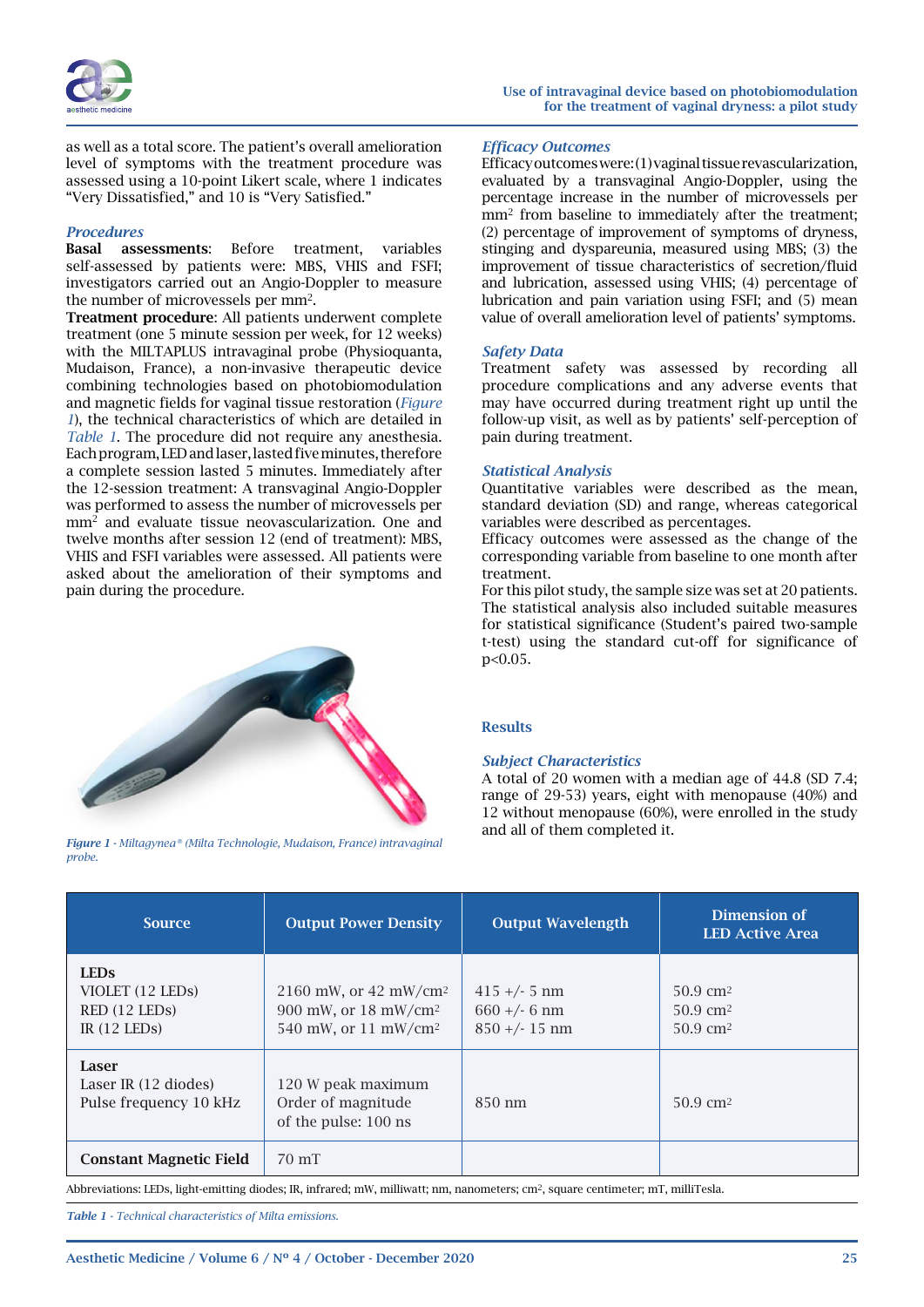

as well as a total score. The patient's overall amelioration level of symptoms with the treatment procedure was assessed using a 10-point Likert scale, where 1 indicates "Very Dissatisfied," and 10 is "Very Satisfied."

#### *Procedures*

Basal assessments: Before treatment, variables self-assessed by patients were: MBS, VHIS and FSFI; investigators carried out an Angio-Doppler to measure the number of microvessels per mm2.

Treatment procedure: All patients underwent complete treatment (one 5 minute session per week, for 12 weeks) with the MILTAPLUS intravaginal probe (Physioquanta, Mudaison, France), a non-invasive therapeutic device combining technologies based on photobiomodulation and magnetic fields for vaginal tissue restoration (*Figure 1*), the technical characteristics of which are detailed in *Table 1*. The procedure did not require any anesthesia. Each program, LED and laser, lasted five minutes, therefore a complete session lasted 5 minutes. Immediately after the 12-session treatment: A transvaginal Angio-Doppler was performed to assess the number of microvessels per mm2 and evaluate tissue neovascularization. One and twelve months after session 12 (end of treatment): MBS, VHIS and FSFI variables were assessed. All patients were asked about the amelioration of their symptoms and pain during the procedure.



*Figure 1 - Miltagynea® (Milta Technologie, Mudaison, France) intravaginal probe.*

#### *Efficacy Outcomes*

Efficacy outcomes were: (1) vaginal tissue revascularization, evaluated by a transvaginal Angio-Doppler, using the percentage increase in the number of microvessels per mm<sup>2</sup> from baseline to immediately after the treatment; (2) percentage of improvement of symptoms of dryness, stinging and dyspareunia, measured using MBS; (3) the improvement of tissue characteristics of secretion/fluid and lubrication, assessed using VHIS; (4) percentage of lubrication and pain variation using FSFI; and (5) mean value of overall amelioration level of patients' symptoms.

#### *Safety Data*

Treatment safety was assessed by recording all procedure complications and any adverse events that may have occurred during treatment right up until the follow-up visit, as well as by patients' self-perception of pain during treatment.

#### *Statistical Analysis*

Quantitative variables were described as the mean, standard deviation (SD) and range, whereas categorical variables were described as percentages.

Efficacy outcomes were assessed as the change of the corresponding variable from baseline to one month after treatment.

For this pilot study, the sample size was set at 20 patients. The statistical analysis also included suitable measures for statistical significance (Student's paired two-sample t-test) using the standard cut-off for significance of p<0.05.

#### **Results**

#### *Subject Characteristics*

A total of 20 women with a median age of 44.8 (SD 7.4; range of 29-53) years, eight with menopause (40%) and 12 without menopause (60%), were enrolled in the study and all of them completed it.

| <b>Source</b>                                                      | <b>Output Power Density</b>                                                                              | <b>Output Wavelength</b>                            | Dimension of<br><b>LED Active Area</b>                             |
|--------------------------------------------------------------------|----------------------------------------------------------------------------------------------------------|-----------------------------------------------------|--------------------------------------------------------------------|
| <b>LEDS</b><br>VIOLET (12 LEDs)<br>RED (12 LEDs)<br>IR $(12$ LEDs) | 2160 mW, or 42 mW/cm <sup>2</sup><br>900 mW, or $18 \text{ mW/cm}^2$<br>540 mW, or 11 mW/cm <sup>2</sup> | $415 +/- 5$ nm<br>$660 +/- 6$ nm<br>$850 +/- 15$ nm | $50.9 \text{ cm}^2$<br>$50.9 \text{ cm}^2$<br>50.9 cm <sup>2</sup> |
| Laser<br>Laser IR (12 diodes)<br>Pulse frequency 10 kHz            | 120 W peak maximum<br>Order of magnitude<br>of the pulse: 100 ns                                         | $850 \text{ nm}$                                    | $50.9 \text{ cm}^2$                                                |
| <b>Constant Magnetic Field</b>                                     | $70 \text{ mT}$                                                                                          |                                                     |                                                                    |

Abbreviations: LEDs, light-emitting diodes; IR, infrared; mW, milliwatt; nm, nanometers; cm2, square centimeter; mT, milliTesla.

*Table 1 - Technical characteristics of Milta emissions.*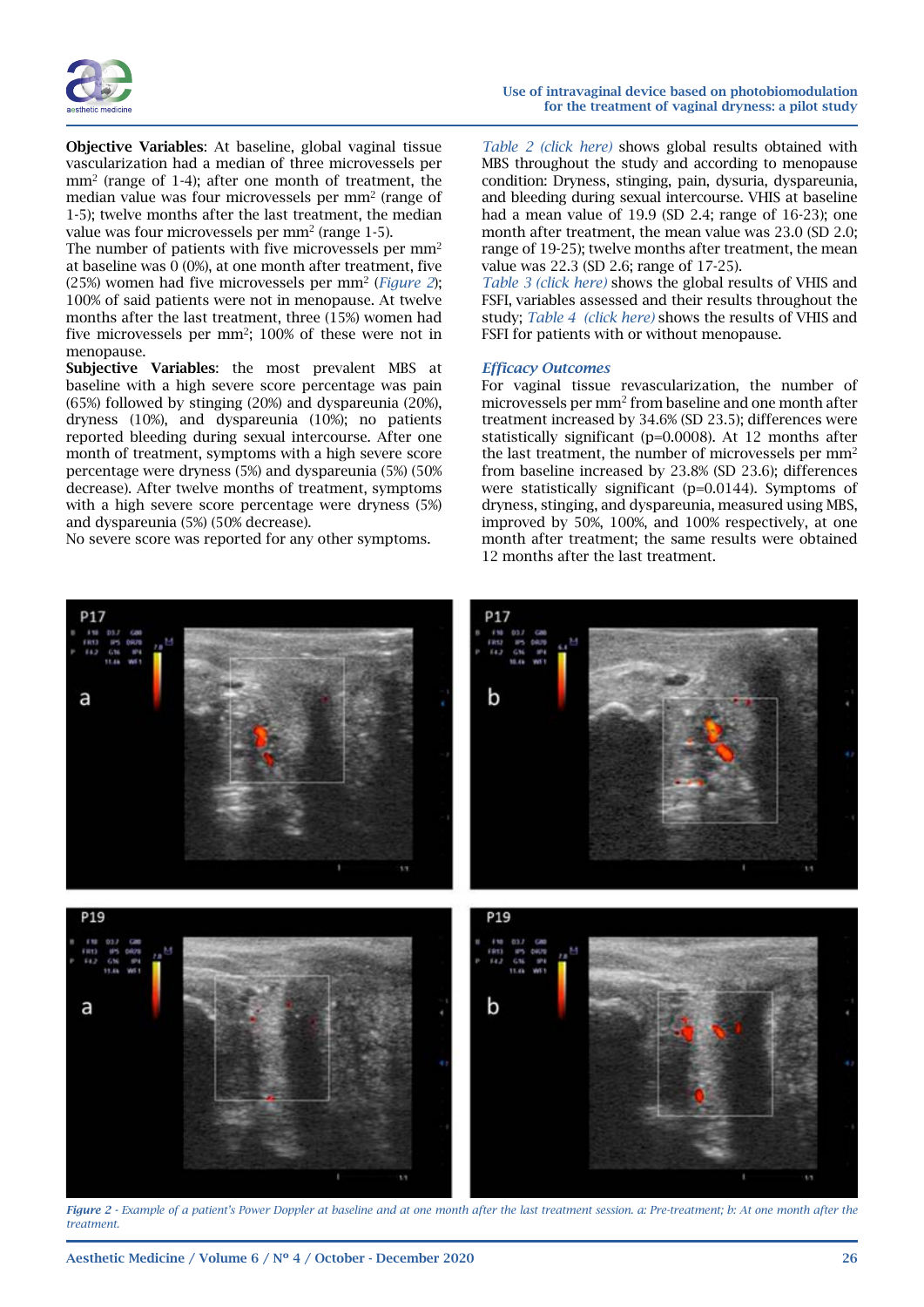

Objective Variables: At baseline, global vaginal tissue vascularization had a median of three microvessels per mm2 (range of 1-4); after one month of treatment, the median value was four microvessels per mm2 (range of 1-5); twelve months after the last treatment, the median value was four microvessels per mm2 (range 1-5).

The number of patients with five microvessels per mm<sup>2</sup> at baseline was 0 (0%), at one month after treatment, five (25%) women had five microvessels per mm2 (*Figure 2*); 100% of said patients were not in menopause. At twelve months after the last treatment, three (15%) women had five microvessels per mm2; 100% of these were not in menopause.

Subjective Variables: the most prevalent MBS at baseline with a high severe score percentage was pain (65%) followed by stinging  $(20%)$  and dyspareunia  $(20%)$ , dryness (10%), and dyspareunia (10%); no patients reported bleeding during sexual intercourse. After one month of treatment, symptoms with a high severe score percentage were dryness (5%) and dyspareunia (5%) (50% decrease). After twelve months of treatment, symptoms with a high severe score percentage were dryness (5%) and dyspareunia (5%) (50% decrease).

No severe score was reported for any other symptoms.

*[Table 2 \(click here\)](https://www.aestheticmedicinejournal.org/wp-content/uploads/2021/01/NARANJO-TABLE-2.pdf)* shows global results obtained with MBS throughout the study and according to menopause condition: Dryness, stinging, pain, dysuria, dyspareunia, and bleeding during sexual intercourse. VHIS at baseline had a mean value of 19.9 (SD 2.4; range of 16-23); one month after treatment, the mean value was 23.0 (SD 2.0; range of 19-25); twelve months after treatment, the mean value was 22.3 (SD 2.6; range of 17-25).

*[Table 3 \(click here\)](https://www.aestheticmedicinejournal.org/wp-content/uploads/2021/01/AEM-4-2020-NARANJO-TABLE-3.pdf)* shows the global results of VHIS and FSFI, variables assessed and their results throughout the study; *[Table 4 \(click here\)](https://www.aestheticmedicinejournal.org/wp-content/uploads/2021/01/AEM-4-2020-NARANJO-TABLE-4.pdf)* shows the results of VHIS and FSFI for patients with or without menopause.

#### *Efficacy Outcomes*

For vaginal tissue revascularization, the number of microvessels per mm2 from baseline and one month after treatment increased by 34.6% (SD 23.5); differences were statistically significant (p=0.0008). At 12 months after the last treatment, the number of microvessels per mm2 from baseline increased by 23.8% (SD 23.6); differences were statistically significant (p=0.0144). Symptoms of dryness, stinging, and dyspareunia, measured using MBS, improved by 50%, 100%, and 100% respectively, at one month after treatment; the same results were obtained 12 months after the last treatment.



Figure 2 - *Example of a patient's Power Doppler at baseline and at one month after the last treatment session. a: Pre-treatment; b: At one month after the treatment.*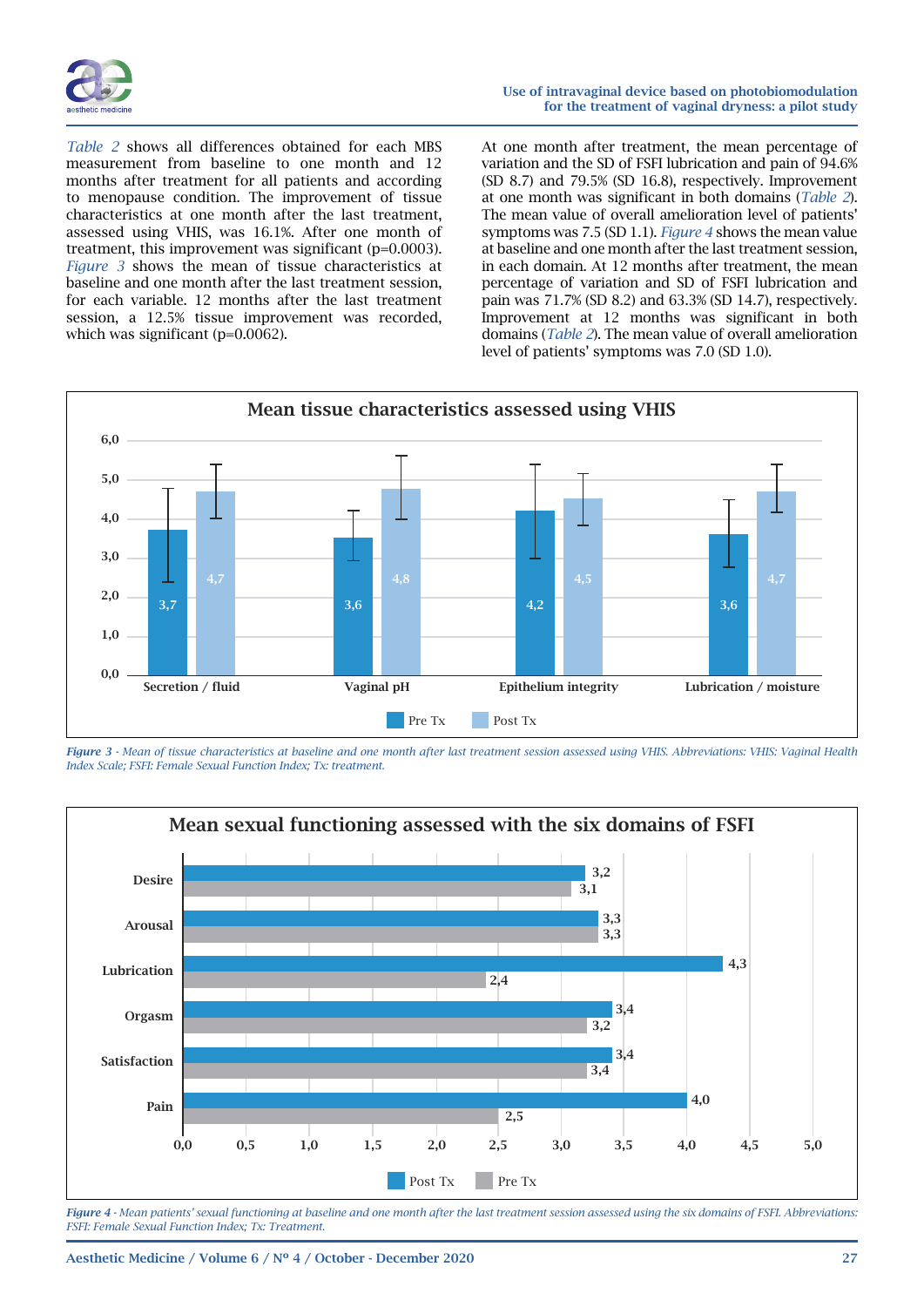

*[Table 2](https://www.aestheticmedicinejournal.org/wp-content/uploads/2021/01/NARANJO-TABLE-2.pdf)* shows all differences obtained for each MBS measurement from baseline to one month and 12 months after treatment for all patients and according to menopause condition. The improvement of tissue characteristics at one month after the last treatment, assessed using VHIS, was 16.1%. After one month of treatment, this improvement was significant (p=0.0003). *Figure 3* shows the mean of tissue characteristics at baseline and one month after the last treatment session, for each variable. 12 months after the last treatment session, a 12.5% tissue improvement was recorded, which was significant (p=0.0062).

At one month after treatment, the mean percentage of variation and the SD of FSFI lubrication and pain of 94.6% (SD 8.7) and 79.5% (SD 16.8), respectively. Improvement at one month was significant in both domains (*[Table 2](https://www.aestheticmedicinejournal.org/wp-content/uploads/2021/01/NARANJO-TABLE-2.pdf)*). The mean value of overall amelioration level of patients' symptoms was 7.5 (SD 1.1). *Figure 4* shows the mean value at baseline and one month after the last treatment session, in each domain. At 12 months after treatment, the mean percentage of variation and SD of FSFI lubrication and pain was 71.7% (SD 8.2) and 63.3% (SD 14.7), respectively. Improvement at 12 months was significant in both domains (*[Table 2](https://www.aestheticmedicinejournal.org/wp-content/uploads/2021/01/NARANJO-TABLE-2.pdf)*). The mean value of overall amelioration level of patients' symptoms was 7.0 (SD 1.0).



*Figure 3 - Mean of tissue characteristics at baseline and one month after last treatment session assessed using VHIS. Abbreviations: VHIS: Vaginal Health Index Scale; FSFI: Female Sexual Function Index; Tx: treatment.*



*Figure 4 - Mean patients' sexual functioning at baseline and one month after the last treatment session assessed using the six domains of FSFI. Abbreviations: FSFI: Female Sexual Function Index; Tx: Treatment.*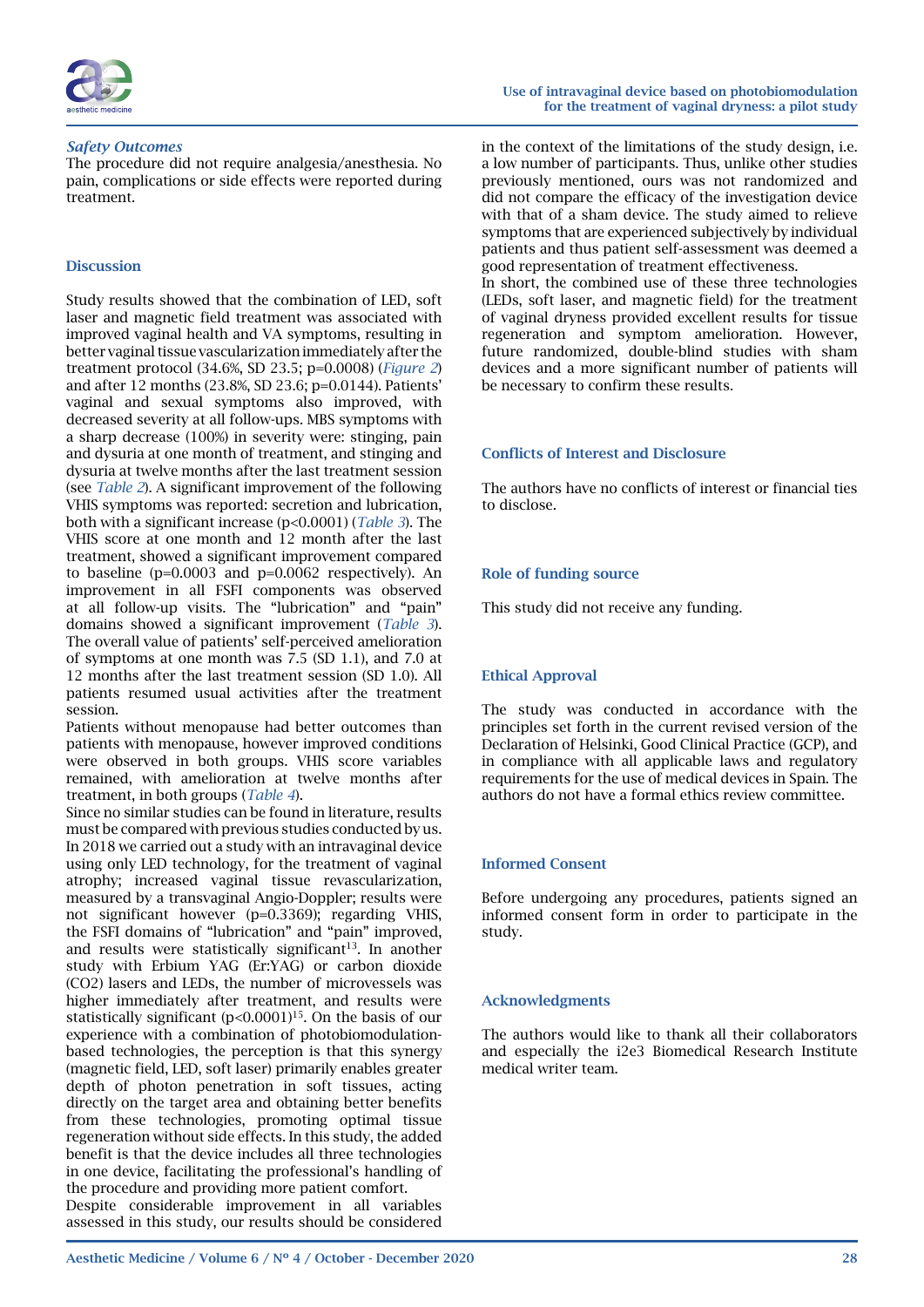

#### *Safety Outcomes*

The procedure did not require analgesia/anesthesia. No pain, complications or side effects were reported during treatment.

#### Discussion

Study results showed that the combination of LED, soft laser and magnetic field treatment was associated with improved vaginal health and VA symptoms, resulting in better vaginal tissue vascularization immediately after the treatment protocol (34.6%, SD 23.5; p=0.0008) (*Figure 2*) and after 12 months (23.8%, SD 23.6; p=0.0144). Patients' vaginal and sexual symptoms also improved, with decreased severity at all follow-ups. MBS symptoms with a sharp decrease (100%) in severity were: stinging, pain and dysuria at one month of treatment, and stinging and dysuria at twelve months after the last treatment session (see *[Table 2](https://www.aestheticmedicinejournal.org/wp-content/uploads/2021/01/NARANJO-TABLE-2.pdf)*). A significant improvement of the following VHIS symptoms was reported: secretion and lubrication, both with a significant increase (p<0.0001) (*[Table 3](https://www.aestheticmedicinejournal.org/wp-content/uploads/2021/01/AEM-4-2020-NARANJO-TABLE-3.pdf)*). The VHIS score at one month and 12 month after the last treatment, showed a significant improvement compared to baseline (p=0.0003 and p=0.0062 respectively). An improvement in all FSFI components was observed at all follow-up visits. The "lubrication" and "pain" domains showed a significant improvement (*[Table 3](https://www.aestheticmedicinejournal.org/wp-content/uploads/2021/01/AEM-4-2020-NARANJO-TABLE-3.pdf)*). The overall value of patients' self-perceived amelioration of symptoms at one month was 7.5 (SD 1.1), and 7.0 at 12 months after the last treatment session (SD 1.0). All patients resumed usual activities after the treatment session.

Patients without menopause had better outcomes than patients with menopause, however improved conditions were observed in both groups. VHIS score variables remained, with amelioration at twelve months after treatment, in both groups (*[Table 4](https://www.aestheticmedicinejournal.org/wp-content/uploads/2021/01/AEM-4-2020-NARANJO-TABLE-4.pdf)*).

Since no similar studies can be found in literature, results must be compared with previous studies conducted by us. In 2018 we carried out a study with an intravaginal device using only LED technology, for the treatment of vaginal atrophy; increased vaginal tissue revascularization, measured by a transvaginal Angio-Doppler; results were not significant however (p=0.3369); regarding VHIS, the FSFI domains of "lubrication" and "pain" improved, and results were statistically significant<sup>13</sup>. In another study with Erbium YAG (Er:YAG) or carbon dioxide (CO2) lasers and LEDs, the number of microvessels was higher immediately after treatment, and results were statistically significant  $(p<0.0001)^{15}$ . On the basis of our experience with a combination of photobiomodulationbased technologies, the perception is that this synergy (magnetic field, LED, soft laser) primarily enables greater depth of photon penetration in soft tissues, acting directly on the target area and obtaining better benefits from these technologies, promoting optimal tissue regeneration without side effects. In this study, the added benefit is that the device includes all three technologies in one device, facilitating the professional's handling of the procedure and providing more patient comfort.

Despite considerable improvement in all variables assessed in this study, our results should be considered in the context of the limitations of the study design, i.e. a low number of participants. Thus, unlike other studies previously mentioned, ours was not randomized and did not compare the efficacy of the investigation device with that of a sham device. The study aimed to relieve symptoms that are experienced subjectively by individual patients and thus patient self-assessment was deemed a good representation of treatment effectiveness.

In short, the combined use of these three technologies (LEDs, soft laser, and magnetic field) for the treatment of vaginal dryness provided excellent results for tissue regeneration and symptom amelioration. However, future randomized, double-blind studies with sham devices and a more significant number of patients will be necessary to confirm these results.

#### Conflicts of Interest and Disclosure

The authors have no conflicts of interest or financial ties to disclose.

#### Role of funding source

This study did not receive any funding.

#### Ethical Approval

The study was conducted in accordance with the principles set forth in the current revised version of the Declaration of Helsinki, Good Clinical Practice (GCP), and in compliance with all applicable laws and regulatory requirements for the use of medical devices in Spain. The authors do not have a formal ethics review committee.

#### Informed Consent

Before undergoing any procedures, patients signed an informed consent form in order to participate in the study.

#### Acknowledgments

The authors would like to thank all their collaborators and especially the i2e3 Biomedical Research Institute medical writer team.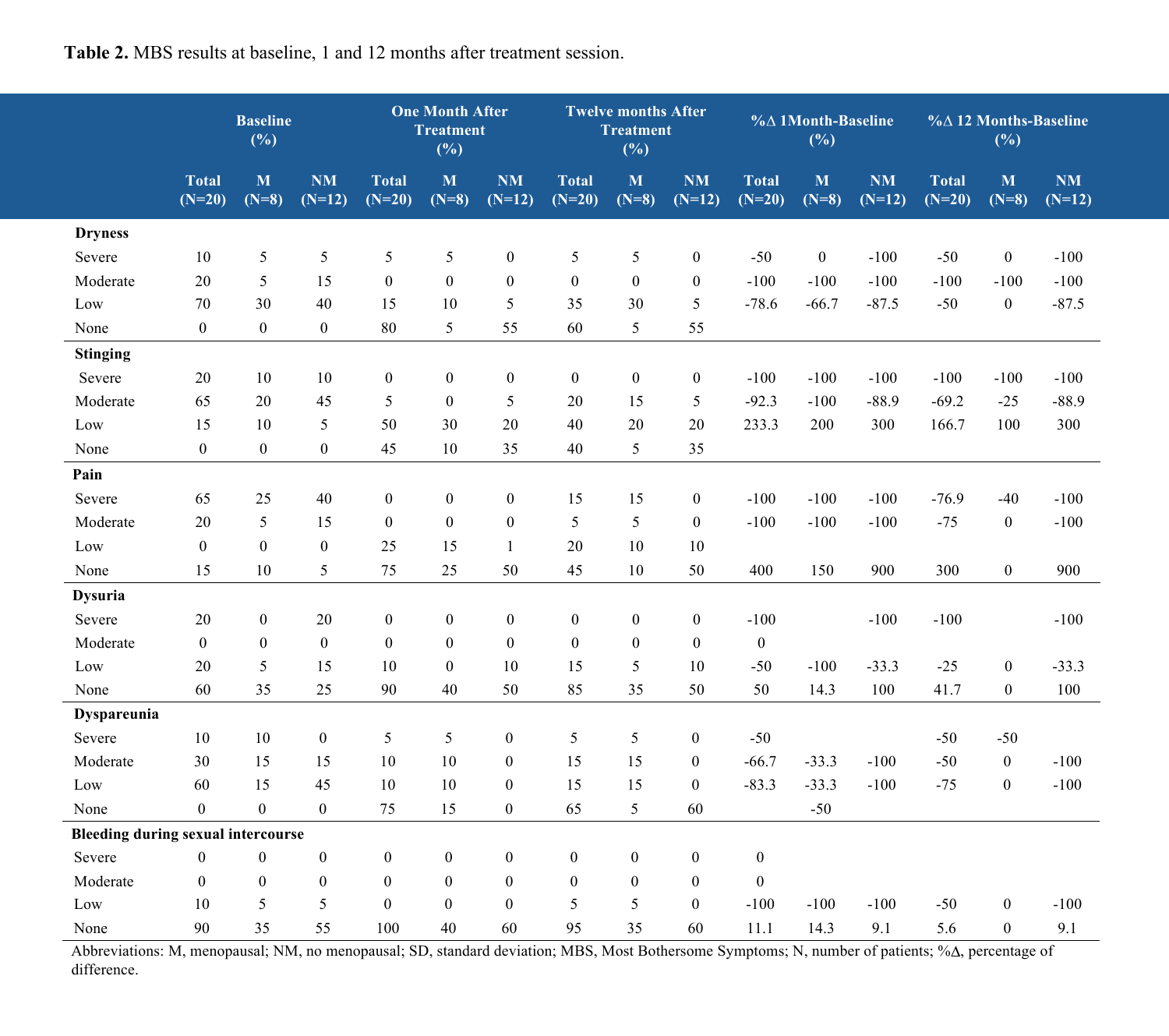**Baseline (%) One Month After Treatment (%) Twelve months After Treatment (%) % 1Month-Baseline (%) % 12 Months-Baseline (%) Total (N=20) M (N=8) NM (N=12) Total (N=20) M (N=8) NM (N=12) Total (N=20) M (N=8) NM (N=12) Total (N=20) M (N=8) NM (N=12) Total (N=20) M (N=8) NM (N=12) Dryness** Severe 10 5 5 5 5 0 5 5 0 -50 0 -100 -50 0 -100 Moderate 20 5 15 0 0 0 0 0 0 -100 -100 -100 -100 -100 -100 Low 70 30 40 15 10 5 35 30 5 -78.6 -66.7 -87.5 -50 0 -87.5 None 0 0 0 80 5 55 60 5 55 **Stinging** Severe 20 10 10 0 0 0 0 0 0 -100 -100 -100 -100 -100 -100 Moderate 65 20 45 5 0 5 20 15 5 -92.3 -100 -88.9 -69.2 -25 -88.9 Low 15 10 5 50 30 20 40 20 20 233.3 200 300 166.7 100 300 None 0 0 0 45 10 35 40 5 35 **Pain** Severe 65 25 40 0 0 0 15 15 0 -100 -100 -76.9 -40 -100 Moderate 20 5 15 0 0 0 5 5 0 -100 -100 -75 0 -100 Low 0 0 0 25 15 1 20 10 10 None 15 10 5 75 25 50 45 10 50 400 150 900 300 0 900 **Dysuria** Severe 20 0 20 0 0 0 0 0 0 -100 -100 -100 -100 Moderate 0 0 0 0 0 0 0 0 0 0 0 Low 20 5 15 10 0 10 15 5 10 -50 -100 -33.3 -25 0 -33.3 None 60 35 25 90 40 50 85 35 50 50 14.3 100 41.7 0 100 **Dyspareunia** Severe 10 10 0 5 5 0 5 5 0 -50 -50 -50 Moderate 30 15 15 10 10 0 15 15 0 -66.7 -33.3 -100 -50 0 -100 Low 60 15 45 10 10 0 15 15 0 -83.3 -33.3 -100 -75 0 -100 None 0 0 0 75 15 0 65 5 60 -50 **Bleeding during sexual intercourse** Severe 0 0 0 0 0 0 0 0 0 0 0 Moderate 0 0 0 0 0 0 0 0 0 0 0 Low 10 5 5 0 0 0 5 5 0 -100 -100 -100 -50 0 -100 None 90 35 55 100 40 60 95 35 60 11.1 14.3 9.1 5.6 0 9.1

**Table 2.** MBS results at baseline, 1 and 12 months after treatment session.

Abbreviations: M, menopausal; NM, no menopausal; SD, standard deviation; MBS, Most Bothersome Symptoms; N, number of patients; % $\Delta$ , percentage of difference.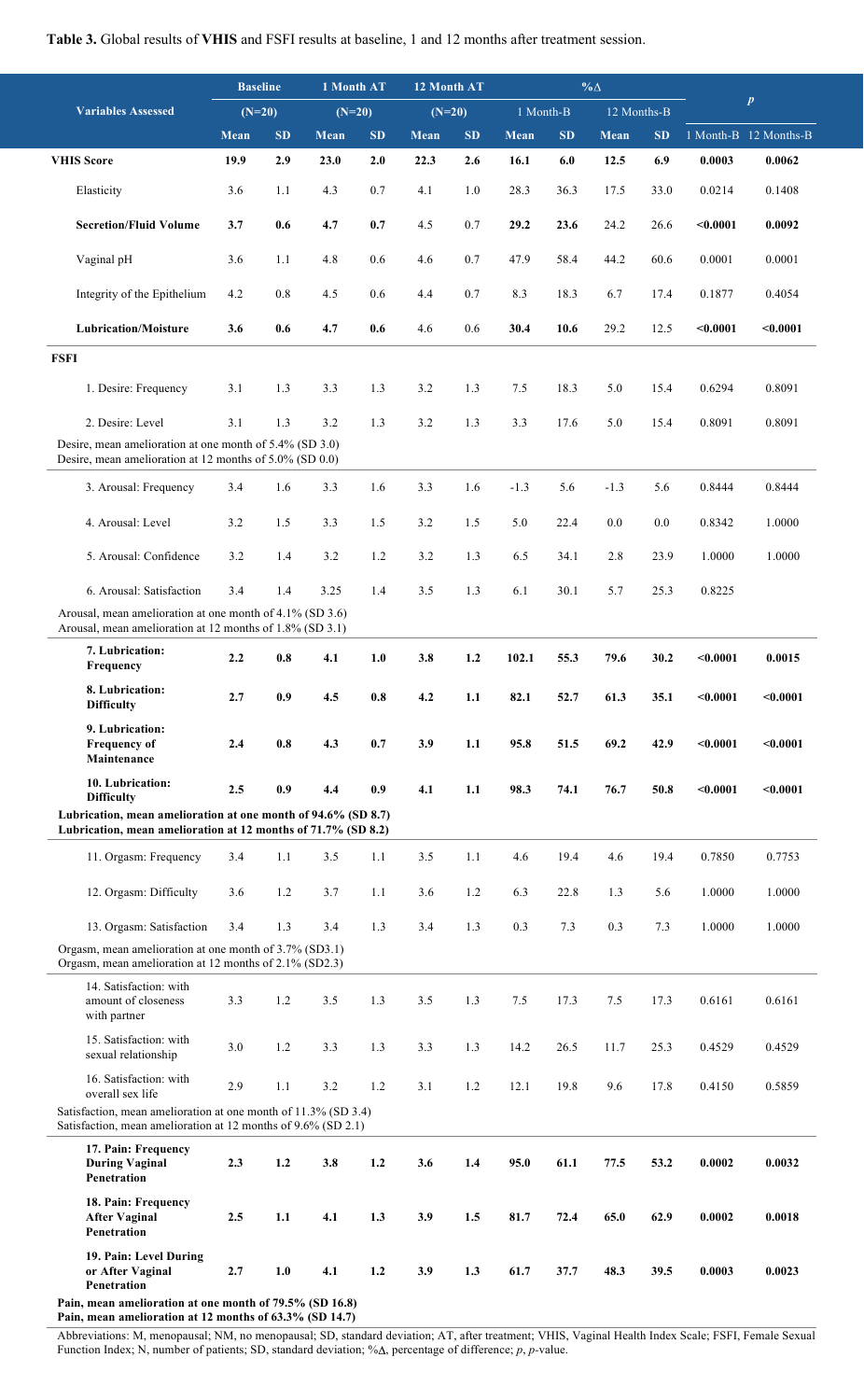**Table 3.** Global results of **VHIS** and FSFI results at baseline, 1 and 12 months after treatment session.

**Variables Assessed Baseline 1 Month AT 12 Month AT %** *p* **(N=20) (N=20) (N=20)** 1 Month-B 12 Months-B **Mean SD Mean SD Mean SD Mean SD Mean SD** 1 Month-B 12 Months-B **VHIS Score 19.9 2.9 23.0 2.0 22.3 2.6 16.1 6.0 12.5 6.9 0.0003 0.0062** Elasticity 3.6 1.1 4.3 0.7 4.1 1.0 28.3 36.3 17.5 33.0 0.0214 0.1408 **Secretion/Fluid Volume 3.7 0.6 4.7 0.7** 4.5 0.7 **29.2 23.6** 24.2 26.6 **<0.0001 0.0092** Vaginal pH 3.6 1.1 4.8 0.6 4.6 0.7 47.9 58.4 44.2 60.6 0.0001 0.0001 Integrity of the Epithelium 4.2 0.8 4.5 0.6 4.4 0.7 8.3 18.3 6.7 17.4 0.1877 0.4054 **Lubrication/Moisture 3.6 0.6 4.7 0.6** 4.6 0.6 **30.4 10.6** 29.2 12.5 **<0.0001 <0.0001 FSFI** 1. Desire: Frequency 3.1 1.3 3.3 1.3 3.2 1.3 7.5 18.3 5.0 15.4 0.6294 0.8091 2. Desire: Level 3.1 1.3 3.2 1.3 3.2 1.3 3.3 17.6 5.0 15.4 0.8091 0.8091 Desire, mean amelioration at one month of 5.4% (SD 3.0) Desire, mean amelioration at 12 months of 5.0% (SD 0.0) 3. Arousal: Frequency 3.4 1.6 3.3 1.6 3.3 1.6 -1.3 5.6 -1.3 5.6 0.8444 0.8444 4. Arousal: Level 3.2 1.5 3.3 1.5 3.2 1.5 5.0 22.4 0.0 0.0 0.8342 1.0000 5. Arousal: Confidence 3.2 1.4 3.2 1.2 3.2 1.3 6.5 34.1 2.8 23.9 1.0000 1.0000 6. Arousal: Satisfaction 3.4 1.4 3.25 1.4 3.5 1.3 6.1 30.1 5.7 25.3 0.8225 Arousal, mean amelioration at one month of 4.1% (SD 3.6) Arousal, mean amelioration at 12 months of 1.8% (SD 3.1) **7. Lubrication: Frequency 2.2 0.8 4.1 1.0 3.8 1.2 102.1 55.3 79.6 30.2 <0.0001 0.0015 8. Lubrication: Difficulty 2.7 0.9 4.5 0.8 4.2 1.1 82.1 52.7 61.3 35.1 <0.0001 <0.0001 9. Lubrication: Frequency of Maintenance 2.4 0.8 4.3 0.7 3.9 1.1 95.8 51.5 69.2 42.9 <0.0001 <0.0001 10. Lubrication: Difficulty 2.5 0.9 4.4 0.9 4.1 1.1 98.3 74.1 76.7 50.8 <0.0001 <0.0001 Lubrication, mean amelioration at one month of 94.6% (SD 8.7) Lubrication, mean amelioration at 12 months of 71.7% (SD 8.2)** 11. Orgasm: Frequency 3.4 1.1 3.5 1.1 3.5 1.1 4.6 19.4 4.6 19.4 0.7850 0.7753

Abbreviations: M, menopausal; NM, no menopausal; SD, standard deviation; AT, after treatment; VHIS, Vaginal Health Index Scale; FSFI, Female Sexual Function Index; N, number of patients; SD, standard deviation; % $\Delta$ , percentage of difference; *p*, *p*-value.

12. Orgasm: Difficulty 3.6 1.2 3.7 1.1 3.6 1.2 6.3 22.8 1.3 5.6 1.0000 1.0000

| 13. Orgasm: Satisfaction                                                                                                        | 3.4 | 1.3 | 3.4 | 1.3 | 3.4 | 1.3 | 0.3  | 7.3  | 0.3  | 7.3  | 1.0000 | 1.0000 |  |
|---------------------------------------------------------------------------------------------------------------------------------|-----|-----|-----|-----|-----|-----|------|------|------|------|--------|--------|--|
| Orgasm, mean amelioration at one month of 3.7% (SD3.1)<br>Orgasm, mean amelioration at 12 months of 2.1% (SD2.3)                |     |     |     |     |     |     |      |      |      |      |        |        |  |
| 14. Satisfaction: with<br>amount of closeness<br>with partner                                                                   | 3.3 | 1.2 | 3.5 | 1.3 | 3.5 | 1.3 | 7.5  | 17.3 | 7.5  | 17.3 | 0.6161 | 0.6161 |  |
| 15. Satisfaction: with<br>sexual relationship                                                                                   | 3.0 | 1.2 | 3.3 | 1.3 | 3.3 | 1.3 | 14.2 | 26.5 | 11.7 | 25.3 | 0.4529 | 0.4529 |  |
| 16. Satisfaction: with<br>overall sex life                                                                                      | 2.9 | 1.1 | 3.2 | 1.2 | 3.1 | 1.2 | 12.1 | 19.8 | 9.6  | 17.8 | 0.4150 | 0.5859 |  |
| Satisfaction, mean amelioration at one month of 11.3% (SD 3.4)<br>Satisfaction, mean amelioration at 12 months of 9.6% (SD 2.1) |     |     |     |     |     |     |      |      |      |      |        |        |  |
| 17. Pain: Frequency<br><b>During Vaginal</b><br>Penetration                                                                     | 2.3 | 1.2 | 3.8 | 1.2 | 3.6 | 1.4 | 95.0 | 61.1 | 77.5 | 53.2 | 0.0002 | 0.0032 |  |
| 18. Pain: Frequency<br><b>After Vaginal</b><br>Penetration                                                                      | 2.5 | 1.1 | 4.1 | 1.3 | 3.9 | 1.5 | 81.7 | 72.4 | 65.0 | 62.9 | 0.0002 | 0.0018 |  |
| 19. Pain: Level During<br>or After Vaginal<br><b>Penetration</b>                                                                | 2.7 | 1.0 | 4.1 | 1.2 | 3.9 | 1.3 | 61.7 | 37.7 | 48.3 | 39.5 | 0.0003 | 0.0023 |  |
| Pain, mean amelioration at one month of 79.5% (SD 16.8)<br>Pain, mean amelioration at 12 months of 63.3% (SD 14.7)              |     |     |     |     |     |     |      |      |      |      |        |        |  |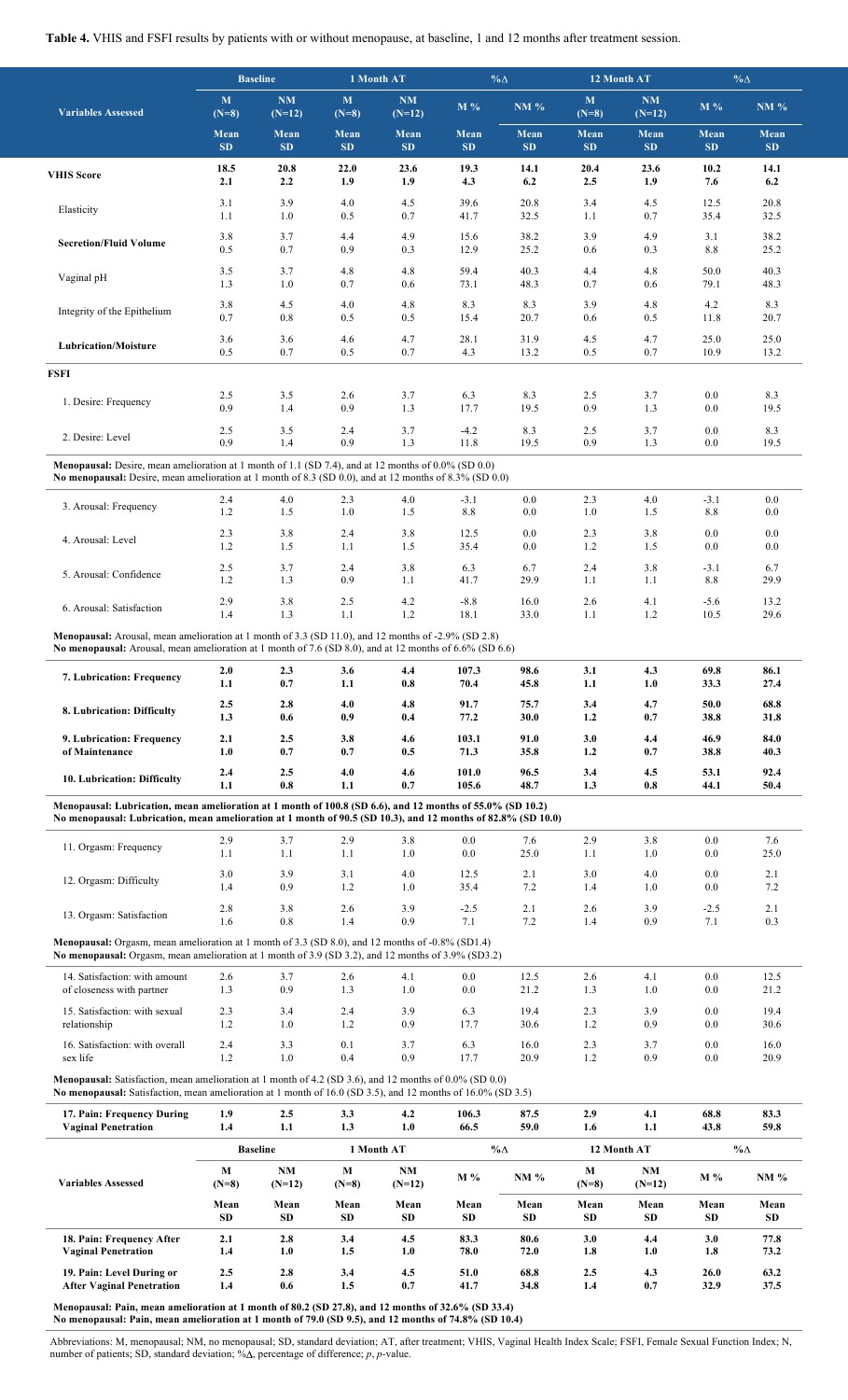**Table 4.** VHIS and FSFI results by patients with or without menopause, at baseline, 1 and 12 months after treatment session.

|                                                                                                                                                                                                                       | <b>Baseline</b>         |                       | 1 Month AT              |                       | $\%$ $\Delta$ |             |                         | 12 Month AT           | $\% \Delta$ |             |
|-----------------------------------------------------------------------------------------------------------------------------------------------------------------------------------------------------------------------|-------------------------|-----------------------|-------------------------|-----------------------|---------------|-------------|-------------------------|-----------------------|-------------|-------------|
| <b>Variables Assessed</b>                                                                                                                                                                                             | $\mathbf{M}$<br>$(N=8)$ | <b>NM</b><br>$(N=12)$ | $\mathbf{M}$<br>$(N=8)$ | <b>NM</b><br>$(N=12)$ | $M\%$         | <b>NM %</b> | $\mathbf{M}$<br>$(N=8)$ | <b>NM</b><br>$(N=12)$ | $M\%$       | <b>NM %</b> |
|                                                                                                                                                                                                                       | Mean                    | Mean                  | Mean                    | Mean                  | Mean          | Mean        | Mean                    | <b>Mean</b>           | Mean        | Mean        |
|                                                                                                                                                                                                                       | SD                      | <b>SD</b>             | SD                      | SD                    | SD            | SD          | SD                      | SD                    | <b>SD</b>   | SD          |
| <b>VHIS Score</b>                                                                                                                                                                                                     | 18.5                    | 20.8                  | 22.0                    | 23.6                  | 19.3          | 14.1        | 20.4                    | 23.6                  | 10.2        | 14.1        |
|                                                                                                                                                                                                                       | 2.1                     | 2.2                   | 1.9                     | 1.9                   | 4.3           | 6.2         | 2.5                     | 1.9                   | 7.6         | 6.2         |
| Elasticity                                                                                                                                                                                                            | 3.1                     | 3.9                   | 4.0                     | 4.5                   | 39.6          | 20.8        | 3.4                     | 4.5                   | 12.5        | 20.8        |
|                                                                                                                                                                                                                       | 1.1                     | 1.0                   | 0.5                     | 0.7                   | 41.7          | 32.5        | 1.1                     | 0.7                   | 35.4        | 32.5        |
| <b>Secretion/Fluid Volume</b>                                                                                                                                                                                         | 3.8                     | 3.7                   | 4.4                     | 4.9                   | 15.6          | 38.2        | 3.9                     | 4.9                   | 3.1         | 38.2        |
|                                                                                                                                                                                                                       | 0.5                     | 0.7                   | 0.9                     | 0.3                   | 12.9          | 25.2        | 0.6                     | 0.3                   | 8.8         | 25.2        |
| Vaginal pH                                                                                                                                                                                                            | 3.5                     | 3.7                   | 4.8                     | 4.8                   | 59.4          | 40.3        | 4.4                     | 4.8                   | 50.0        | 40.3        |
|                                                                                                                                                                                                                       | 1.3                     | 1.0                   | 0.7                     | 0.6                   | 73.1          | 48.3        | 0.7                     | 0.6                   | 79.1        | 48.3        |
| Integrity of the Epithelium                                                                                                                                                                                           | 3.8                     | 4.5                   | 4.0                     | 4.8                   | 8.3           | 8.3         | 3.9                     | 4.8                   | 4.2         | 8.3         |
|                                                                                                                                                                                                                       | 0.7                     | $0.8\,$               | 0.5                     | 0.5                   | 15.4          | 20.7        | 0.6                     | 0.5                   | 11.8        | 20.7        |
| <b>Lubrication/Moisture</b>                                                                                                                                                                                           | 3.6                     | 3.6                   | 4.6                     | 4.7                   | 28.1          | 31.9        | 4.5                     | 4.7                   | 25.0        | 25.0        |
|                                                                                                                                                                                                                       | 0.5                     | 0.7                   | 0.5                     | 0.7                   | 4.3           | 13.2        | 0.5                     | 0.7                   | 10.9        | 13.2        |
| <b>FSFI</b>                                                                                                                                                                                                           |                         |                       |                         |                       |               |             |                         |                       |             |             |
| 1. Desire: Frequency                                                                                                                                                                                                  | 2.5                     | 3.5                   | 2.6                     | 3.7                   | 6.3           | 8.3         | 2.5                     | 3.7                   | 0.0         | 8.3         |
|                                                                                                                                                                                                                       | 0.9                     | 1.4                   | 0.9                     | 1.3                   | 17.7          | 19.5        | 0.9                     | 1.3                   | 0.0         | 19.5        |
| 2. Desire: Level                                                                                                                                                                                                      | 2.5                     | 3.5                   | 2.4                     | 3.7                   | $-4.2$        | 8.3         | 2.5                     | 3.7                   | 0.0         | 8.3         |
|                                                                                                                                                                                                                       | 0.9                     | 1.4                   | 0.9                     | 1.3                   | 11.8          | 19.5        | 0.9                     | 1.3                   | 0.0         | 19.5        |
| Menopausal: Desire, mean amelioration at 1 month of 1.1 (SD 7.4), and at 12 months of 0.0% (SD 0.0)<br>No menopausal: Desire, mean amelioration at 1 month of 8.3 (SD 0.0), and at 12 months of 8.3% (SD 0.0)         |                         |                       |                         |                       |               |             |                         |                       |             |             |
| 3. Arousal: Frequency                                                                                                                                                                                                 | 2.4                     | 4.0                   | 2.3                     | 4.0                   | $-3.1$        | 0.0         | 2.3                     | 4.0                   | $-3.1$      | 0.0         |
|                                                                                                                                                                                                                       | 1.2                     | 1.5                   | 1.0                     | 1.5                   | 8.8           | 0.0         | 1.0                     | 1.5                   | 8.8         | 0.0         |
| 4. Arousal: Level                                                                                                                                                                                                     | 2.3                     | 3.8                   | 2.4                     | 3.8                   | 12.5          | 0.0         | 2.3                     | 3.8                   | 0.0         | 0.0         |
|                                                                                                                                                                                                                       | 1.2                     | 1.5                   | 1.1                     | 1.5                   | 35.4          | 0.0         | 1.2                     | 1.5                   | 0.0         | 0.0         |
| 5. Arousal: Confidence                                                                                                                                                                                                | 2.5                     | 3.7                   | 2.4                     | 3.8                   | 6.3           | 6.7         | 2.4                     | 3.8                   | $-3.1$      | 6.7         |
|                                                                                                                                                                                                                       | 1.2                     | 1.3                   | 0.9                     | 1.1                   | 41.7          | 29.9        | 1.1                     | 1.1                   | 8.8         | 29.9        |
| 6. Arousal: Satisfaction                                                                                                                                                                                              | 2.9                     | 3.8                   | 2.5                     | 4.2                   | $-8.8$        | 16.0        | 2.6                     | 4.1                   | $-5.6$      | 13.2        |
|                                                                                                                                                                                                                       | 1.4                     | 1.3                   | 1.1                     | 1.2                   | 18.1          | 33.0        | 1.1                     | 1.2                   | 10.5        | 29.6        |
| <b>Menopausal:</b> Arousal, mean amelioration at 1 month of 3.3 (SD 11.0), and 12 months of -2.9% (SD 2.8)<br>No menopausal: Arousal, mean amelioration at 1 month of 7.6 (SD 8.0), and at 12 months of 6.6% (SD 6.6) |                         |                       |                         |                       |               |             |                         |                       |             |             |
| 7. Lubrication: Frequency                                                                                                                                                                                             | 2.0                     | 2.3                   | 3.6                     | 4.4                   | 107.3         | 98.6        | 3.1                     | 4.3                   | 69.8        | 86.1        |
|                                                                                                                                                                                                                       | 1.1                     | 0.7                   | 1.1                     | 0.8                   | 70.4          | 45.8        | 1.1                     | 1.0                   | 33.3        | 27.4        |
| 8. Lubrication: Difficulty                                                                                                                                                                                            | $2.5\,$                 | 2.8                   | 4.0                     | 4.8                   | 91.7          | 75.7        | 3.4                     | 4.7                   | 50.0        | 68.8        |
|                                                                                                                                                                                                                       | 1.3                     | 0.6                   | 0.9                     | 0.4                   | 77.2          | 30.0        | 1.2                     | 0.7                   | 38.8        | 31.8        |
| 9. Lubrication: Frequency                                                                                                                                                                                             | 2.1                     | 2.5                   | 3.8                     | 4.6                   | 103.1         | 91.0        | 3.0                     | 4.4                   | 46.9        | 84.0        |
| of Maintenance                                                                                                                                                                                                        | 1.0                     | 0.7                   | 0.7                     | 0.5                   | 71.3          | 35.8        | 1.2                     | 0.7                   | 38.8        | 40.3        |
| 10. Lubrication: Difficulty                                                                                                                                                                                           | 2.4                     | 2.5                   | 4.0                     | 4.6                   | 101.0         | 96.5        | 3.4                     | 4.5                   | 53.1        | 92.4        |
|                                                                                                                                                                                                                       | 1.1                     | 0.8                   | 1.1                     | 0.7                   | 105.6         | 48.7        | 1.3                     | 0.8                   | 44.1        | 50.4        |

Abbreviations: M, menopausal; NM, no menopausal; SD, standard deviation; AT, after treatment; VHIS, Vaginal Health Index Scale; FSFI, Female Sexual Function Index; N, number of patients; SD, standard deviation; % $\Delta$ , percentage of difference; *p*, *p*-value.

| 11. Orgasm: Frequency  | 2.9                | ،          | 2.9                          | 3.8<br>1.0 | 0.0<br>0.0   | /0.6<br>25.0      | 2.9<br>.                            | 3.8<br>1.0 | 0.0<br>0.0 | $\overline{\phantom{0}}$<br>1.6<br>25.0                 |
|------------------------|--------------------|------------|------------------------------|------------|--------------|-------------------|-------------------------------------|------------|------------|---------------------------------------------------------|
| 12. Orgasm: Difficulty | 3.0<br>-4<br>. . - | 3.9<br>0.9 | 3.1<br>ാ<br>$\overline{1}$ . | 4.0<br>1.0 | 12.5<br>35.4 | 2.1<br>72<br>ے. ا | 3.0<br>4<br>$\cdot$ $\cdot$ $\cdot$ | 4.0<br>1.0 | 0.0<br>0.0 | $\sim$ .1<br>$\overline{z}$<br>$\overline{\phantom{a}}$ |
|                        | - -                | __         |                              | __         | $ -$         |                   |                                     | ___        | $ -$       | $ -$                                                    |

|                                      |     | - - -          |  | h<br><u>_</u> | u | -- |     |
|--------------------------------------|-----|----------------|--|---------------|---|----|-----|
| Orgasm:<br>Satisfaction<br>$\cdot$ . | U.C | $\mathbf{v}$ . |  |               |   |    | ◡.◡ |

**Menopausal:** Orgasm, mean amelioration at 1 month of 3.3 (SD 8.0), and 12 months of -0.8% (SD1.4) **No menopausal:** Orgasm, mean amelioration at 1 month of 3.9 (SD 3.2), and 12 months of 3.9% (SD3.2)

| 14. Satisfaction: with amount<br>of closeness with partner | 2.6<br>1.3        | 3.7<br>0.9 | 2.6<br>1.3        | 4.1<br>1.0 | 0.0<br>0.0  | 12.5<br>21.2 | 2.6<br>1.3 | $-4.1$<br>0.1 | 0.0<br>0.0 | 12.5<br>21.2 |
|------------------------------------------------------------|-------------------|------------|-------------------|------------|-------------|--------------|------------|---------------|------------|--------------|
| 15. Satisfaction: with sexual<br>relationship              | 2.3<br>. <u>.</u> | 3.4<br>1.0 | 2.4<br>$\sqrt{2}$ | 3.9<br>0.9 | 6.3<br>17.7 | 19.4<br>30.6 | 2.3<br>1.2 | 3.9<br>0.9    | 0.0<br>0.0 | 19.4<br>30.6 |
| 16. Satisfaction: with overall                             | 2.4               | 3.3        | 0.1               | 3.7        | 6.3         | 16.0         | 2.3        | 37<br>، . ب   | 0.0        | 16.0         |
| sex life                                                   |                   | 1.0        | 0.4               | 0.9        | 17.7        | 20.9         | $\cdot$ .2 | 0.9           | 0.0        | 20.9         |

**Menopausal:** Satisfaction, mean amelioration at 1 month of 4.2 (SD 3.6), and 12 months of 0.0% (SD 0.0) **No menopausal:** Satisfaction, mean amelioration at 1 month of 16.0 (SD 3.5), and 12 months of 16.0% (SD 3.5)

| 17. Pain: Frequency During       | 1.9               | 2.5               | 3.3               | 4.2               | 106.3                 | 87.5              | 2.9                   | 4.1               | 68.8              | 83.3              |                |       |             |
|----------------------------------|-------------------|-------------------|-------------------|-------------------|-----------------------|-------------------|-----------------------|-------------------|-------------------|-------------------|----------------|-------|-------------|
| <b>Vaginal Penetration</b>       | 1.4               | 1.1               | 1.3               | 1.0               | 66.5                  | 59.0              | 1.6                   | 1.1               | 43.8              | 59.8              |                |       |             |
|                                  | <b>Baseline</b>   |                   | 1 Month AT        |                   | $\%$ $\Delta$         |                   | 12 Month AT           |                   | $%$ $\Delta$      |                   |                |       |             |
| <b>Variables Assessed</b>        | M<br>$(N=8)$      |                   |                   |                   | <b>NM</b><br>$(N=12)$ | M<br>$(N=8)$      | <b>NM</b><br>$(N=12)$ | $M\%$             | NM%               | M<br>$(N=8)$      | NM<br>$(N=12)$ | $M\%$ | <b>NM %</b> |
|                                  | Mean<br><b>SD</b> | Mean<br><b>SD</b> | Mean<br><b>SD</b> | Mean<br><b>SD</b> | Mean<br><b>SD</b>     | Mean<br><b>SD</b> | Mean<br><b>SD</b>     | Mean<br><b>SD</b> | Mean<br><b>SD</b> | Mean<br><b>SD</b> |                |       |             |
| 18. Pain: Frequency After        | 2.1               | 2.8               | 3.4               | 4.5               | 83.3                  | 80.6              | 3.0                   | 4.4               | 3.0               | 77.8              |                |       |             |
| <b>Vaginal Penetration</b>       | 1.4               | 1.0               | 1.5               | 1.0               | 78.0                  | 72.0              | 1.8                   | 1.0               | 1.8               | 73.2              |                |       |             |
| 19. Pain: Level During or        | 2.5               | 2.8               | 3.4               | 4.5               | 51.0                  | 68.8              | 2.5                   | 4.3               | 26.0              | 63.2              |                |       |             |
| <b>After Vaginal Penetration</b> | 1.4               | 0.6               | 1.5               | 0.7               | 41.7                  | 34.8              | 1.4                   | 0.7               | 32.9              | 37.5              |                |       |             |

**Menopausal: Pain, mean amelioration at 1 month of 80.2 (SD 27.8), and 12 months of 32.6% (SD 33.4)**

No menopausal: Pain, mean amelioration at 1 month of 79.0 (SD 9.5), and 12 months of 74.8% (SD 10.4)